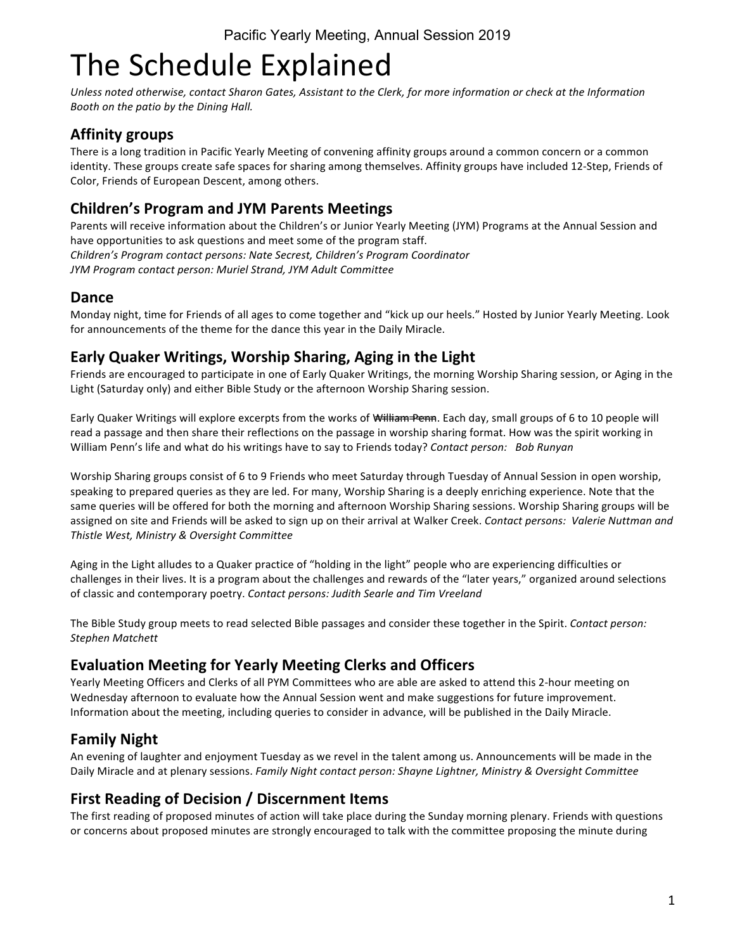# The Schedule Explained

Unless noted otherwise, contact Sharon Gates, Assistant to the Clerk, for more information or check at the Information *Booth* on the patio by the Dining Hall.

## **Affinity groups**

There is a long tradition in Pacific Yearly Meeting of convening affinity groups around a common concern or a common identity. These groups create safe spaces for sharing among themselves. Affinity groups have included 12-Step, Friends of Color, Friends of European Descent, among others.

## **Children's Program and JYM Parents Meetings**

Parents will receive information about the Children's or Junior Yearly Meeting (JYM) Programs at the Annual Session and have opportunities to ask questions and meet some of the program staff. *Children's Program contact persons: Nate Secrest, Children's Program Coordinator* JYM Program contact person: Muriel Strand, JYM Adult Committee

#### **Dance**

Monday night, time for Friends of all ages to come together and "kick up our heels." Hosted by Junior Yearly Meeting. Look for announcements of the theme for the dance this year in the Daily Miracle.

## **Early Quaker Writings, Worship Sharing, Aging in the Light**

Friends are encouraged to participate in one of Early Quaker Writings, the morning Worship Sharing session, or Aging in the Light (Saturday only) and either Bible Study or the afternoon Worship Sharing session.

Early Quaker Writings will explore excerpts from the works of William Penn. Each day, small groups of 6 to 10 people will read a passage and then share their reflections on the passage in worship sharing format. How was the spirit working in William Penn's life and what do his writings have to say to Friends today? Contact person: Bob Runyan

Worship Sharing groups consist of 6 to 9 Friends who meet Saturday through Tuesday of Annual Session in open worship, speaking to prepared queries as they are led. For many, Worship Sharing is a deeply enriching experience. Note that the same queries will be offered for both the morning and afternoon Worship Sharing sessions. Worship Sharing groups will be assigned on site and Friends will be asked to sign up on their arrival at Walker Creek. Contact persons: Valerie Nuttman and *Thistle West, Ministry & Oversight Committee*

Aging in the Light alludes to a Quaker practice of "holding in the light" people who are experiencing difficulties or challenges in their lives. It is a program about the challenges and rewards of the "later years," organized around selections of classic and contemporary poetry. Contact persons: Judith Searle and Tim Vreeland

The Bible Study group meets to read selected Bible passages and consider these together in the Spirit. Contact person: *Stephen Matchett*

## **Evaluation Meeting for Yearly Meeting Clerks and Officers**

Yearly Meeting Officers and Clerks of all PYM Committees who are able are asked to attend this 2-hour meeting on Wednesday afternoon to evaluate how the Annual Session went and make suggestions for future improvement. Information about the meeting, including queries to consider in advance, will be published in the Daily Miracle.

# **Family Night**

An evening of laughter and enjoyment Tuesday as we revel in the talent among us. Announcements will be made in the Daily Miracle and at plenary sessions. *Family Night contact person: Shayne Lightner, Ministry & Oversight Committee* 

# **First Reading of Decision / Discernment Items**

The first reading of proposed minutes of action will take place during the Sunday morning plenary. Friends with questions or concerns about proposed minutes are strongly encouraged to talk with the committee proposing the minute during